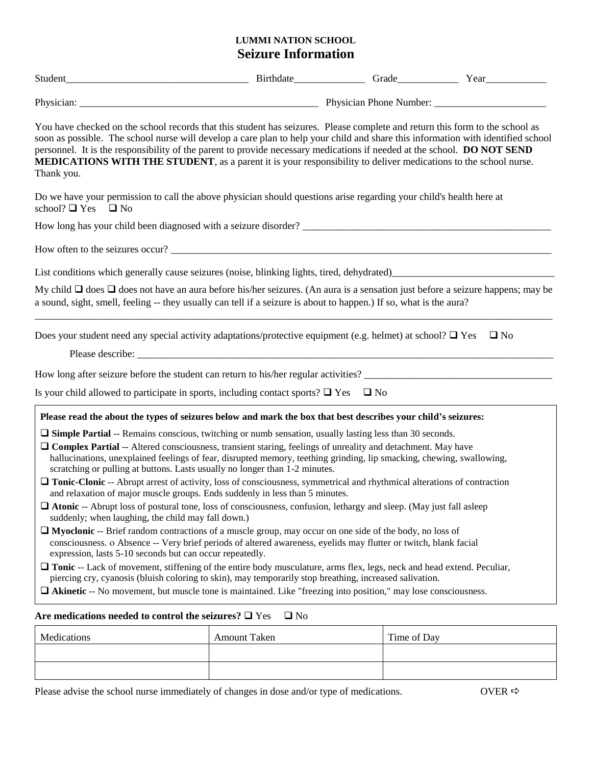## **LUMMI NATION SCHOOL Seizure Information**

| Thank you.                                                                                                                                                                                                                                                  | You have checked on the school records that this student has seizures. Please complete and return this form to the school as<br>soon as possible. The school nurse will develop a care plan to help your child and share this information with identified school<br>personnel. It is the responsibility of the parent to provide necessary medications if needed at the school. DO NOT SEND<br><b>MEDICATIONS WITH THE STUDENT</b> , as a parent it is your responsibility to deliver medications to the school nurse.                                                                                                                                                                                                                                                                                                                                                                                                                                                                                                                                                                                                                                                                                                                                                                                                                                                                                                                          |             |           |
|-------------------------------------------------------------------------------------------------------------------------------------------------------------------------------------------------------------------------------------------------------------|-------------------------------------------------------------------------------------------------------------------------------------------------------------------------------------------------------------------------------------------------------------------------------------------------------------------------------------------------------------------------------------------------------------------------------------------------------------------------------------------------------------------------------------------------------------------------------------------------------------------------------------------------------------------------------------------------------------------------------------------------------------------------------------------------------------------------------------------------------------------------------------------------------------------------------------------------------------------------------------------------------------------------------------------------------------------------------------------------------------------------------------------------------------------------------------------------------------------------------------------------------------------------------------------------------------------------------------------------------------------------------------------------------------------------------------------------|-------------|-----------|
| school? $\Box$ Yes $\Box$ No                                                                                                                                                                                                                                | Do we have your permission to call the above physician should questions arise regarding your child's health here at                                                                                                                                                                                                                                                                                                                                                                                                                                                                                                                                                                                                                                                                                                                                                                                                                                                                                                                                                                                                                                                                                                                                                                                                                                                                                                                             |             |           |
|                                                                                                                                                                                                                                                             |                                                                                                                                                                                                                                                                                                                                                                                                                                                                                                                                                                                                                                                                                                                                                                                                                                                                                                                                                                                                                                                                                                                                                                                                                                                                                                                                                                                                                                                 |             |           |
|                                                                                                                                                                                                                                                             |                                                                                                                                                                                                                                                                                                                                                                                                                                                                                                                                                                                                                                                                                                                                                                                                                                                                                                                                                                                                                                                                                                                                                                                                                                                                                                                                                                                                                                                 |             |           |
|                                                                                                                                                                                                                                                             |                                                                                                                                                                                                                                                                                                                                                                                                                                                                                                                                                                                                                                                                                                                                                                                                                                                                                                                                                                                                                                                                                                                                                                                                                                                                                                                                                                                                                                                 |             |           |
|                                                                                                                                                                                                                                                             | My child $\Box$ does $\Box$ does not have an aura before his/her seizures. (An aura is a sensation just before a seizure happens; may be<br>a sound, sight, smell, feeling -- they usually can tell if a seizure is about to happen.) If so, what is the aura?                                                                                                                                                                                                                                                                                                                                                                                                                                                                                                                                                                                                                                                                                                                                                                                                                                                                                                                                                                                                                                                                                                                                                                                  |             |           |
|                                                                                                                                                                                                                                                             | Does your student need any special activity adaptations/protective equipment (e.g. helmet) at school? $\Box$ Yes                                                                                                                                                                                                                                                                                                                                                                                                                                                                                                                                                                                                                                                                                                                                                                                                                                                                                                                                                                                                                                                                                                                                                                                                                                                                                                                                |             | $\Box$ No |
|                                                                                                                                                                                                                                                             | How long after seizure before the student can return to his/her regular activities?                                                                                                                                                                                                                                                                                                                                                                                                                                                                                                                                                                                                                                                                                                                                                                                                                                                                                                                                                                                                                                                                                                                                                                                                                                                                                                                                                             |             |           |
|                                                                                                                                                                                                                                                             | Is your child allowed to participate in sports, including contact sports? $\Box$ Yes $\Box$ No                                                                                                                                                                                                                                                                                                                                                                                                                                                                                                                                                                                                                                                                                                                                                                                                                                                                                                                                                                                                                                                                                                                                                                                                                                                                                                                                                  |             |           |
| scratching or pulling at buttons. Lasts usually no longer than 1-2 minutes.<br>suddenly; when laughing, the child may fall down.)<br>expression, lasts 5-10 seconds but can occur repeatedly.<br>Are medications needed to control the seizures? $\Box$ Yes | Please read the about the types of seizures below and mark the box that best describes your child's seizures:<br>$\Box$ Simple Partial -- Remains conscious, twitching or numb sensation, usually lasting less than 30 seconds.<br>$\Box$ Complex Partial -- Altered consciousness, transient staring, feelings of unreality and detachment. May have<br>hallucinations, unexplained feelings of fear, disrupted memory, teething grinding, lip smacking, chewing, swallowing,<br>Tonic-Clonic -- Abrupt arrest of activity, loss of consciousness, symmetrical and rhythmical alterations of contraction<br>and relaxation of major muscle groups. Ends suddenly in less than 5 minutes.<br>$\Box$ Atonic -- Abrupt loss of postural tone, loss of consciousness, confusion, lethargy and sleep. (May just fall asleep<br>$\Box$ Myoclonic -- Brief random contractions of a muscle group, may occur on one side of the body, no loss of<br>consciousness. o Absence -- Very brief periods of altered awareness, eyelids may flutter or twitch, blank facial<br>$\Box$ Tonic -- Lack of movement, stiffening of the entire body musculature, arms flex, legs, neck and head extend. Peculiar,<br>piercing cry, cyanosis (bluish coloring to skin), may temporarily stop breathing, increased salivation.<br>$\Box$ Akinetic -- No movement, but muscle tone is maintained. Like "freezing into position," may lose consciousness.<br>$\Box$ No |             |           |
|                                                                                                                                                                                                                                                             |                                                                                                                                                                                                                                                                                                                                                                                                                                                                                                                                                                                                                                                                                                                                                                                                                                                                                                                                                                                                                                                                                                                                                                                                                                                                                                                                                                                                                                                 |             |           |
| Medications                                                                                                                                                                                                                                                 | <b>Amount Taken</b>                                                                                                                                                                                                                                                                                                                                                                                                                                                                                                                                                                                                                                                                                                                                                                                                                                                                                                                                                                                                                                                                                                                                                                                                                                                                                                                                                                                                                             | Time of Day |           |

Please advise the school nurse immediately of changes in dose and/or type of medications. OVER  $\Rightarrow$